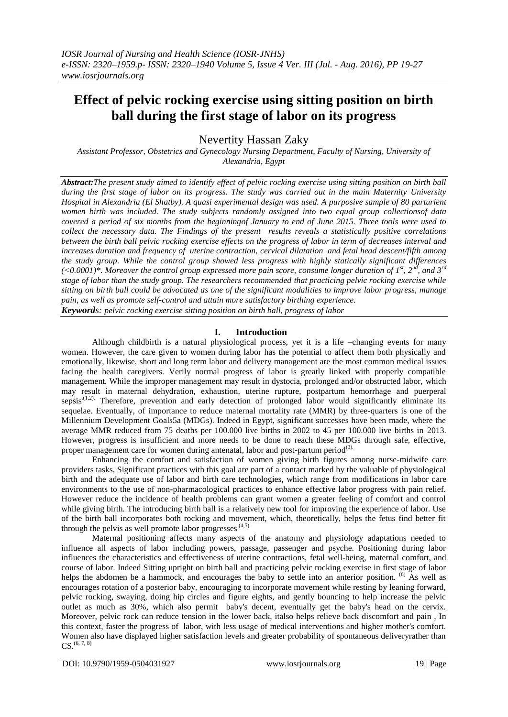# **Effect of pelvic rocking exercise using sitting position on birth ball during the first stage of labor on its progress**

Nevertity Hassan Zaky

*Assistant Professor, Obstetrics and Gynecology Nursing Department, Faculty of Nursing, University of Alexandria, Egypt*

*Abstract:The present study aimed to identify effect of pelvic rocking exercise using sitting position on birth ball during the first stage of labor on its progress. The study was carried out in the main Maternity University Hospital in Alexandria (El Shatby). A quasi experimental design was used. A purposive sample of 80 parturient women birth was included. The study subjects randomly assigned into two equal group collectionsof data covered a period of six months from the beginningof January to end of June 2015. Three tools were used to collect the necessary data. The Findings of the present results reveals a statistically positive correlations between the birth ball pelvic rocking exercise effects on the progress of labor in term of decreases interval and increases duration and frequency of uterine contraction, cervical dilatation and fetal head descent/fifth among the study group. While the control group showed less progress with highly statically significant differences*   $(\leq 0.0001)^*$ . Moreover the control group expressed more pain score, consume longer duration of 1<sup>st</sup>, 2<sup>nd</sup>, and 3<sup>rd</sup> *stage of labor than the study group. The researchers recommended that practicing pelvic rocking exercise while sitting on birth ball could be advocated as one of the significant modalities to improve labor progress, manage pain, as well as promote self-control and attain more satisfactory birthing experience.*

*Keywords: pelvic rocking exercise sitting position on birth ball, progress of labor*

## **I. Introduction**

Although childbirth is a natural physiological process, yet it is a life –changing events for many women. However, the care given to women during labor has the potential to affect them both physically and emotionally, likewise, short and long term labor and delivery management are the most common medical issues facing the health caregivers. Verily normal progress of labor is greatly linked with properly compatible management. While the improper management may result in dystocia, prolonged and/or obstructed labor, which may result in maternal dehydration, exhaustion, uterine rupture, postpartum hemorrhage and puerperal sepsis<sup> $(1,2)$ </sup>. Therefore, prevention and early detection of prolonged labor would significantly eliminate its sequelae. Eventually, of importance to reduce maternal mortality rate (MMR) by three-quarters is one of the Millennium Development Goals5a (MDGs). Indeed in Egypt, significant successes have been made, where the average MMR reduced from 75 deaths per 100.000 live births in 2002 to 45 per 100.000 live births in 2013. However, progress is insufficient and more needs to be done to reach these MDGs through safe, effective, proper management care for women during antenatal, labor and post-partum period<sup>(3).</sup>

Enhancing the comfort and satisfaction of women giving birth figures among nurse-midwife care providers tasks. Significant practices with this goal are part of a contact marked by the valuable of physiological birth and the adequate use of labor and birth care technologies, which range from modifications in labor care environments to the use of non-pharmacological practices to enhance effective labor progress with pain relief. However reduce the incidence of health problems can grant women a greater feeling of comfort and control while giving birth. The introducing birth ball is a relatively new tool for improving the experience of labor. Use of the birth ball incorporates both rocking and movement, which, theoretically, helps the fetus find better fit through the pelvis as well promote labor progresses. $(4,5)$ 

Maternal positioning affects many aspects of the anatomy and physiology adaptations needed to influence all aspects of labor including powers, passage, passenger and psyche. Positioning during labor influences the characteristics and effectiveness of uterine contractions, fetal well-being, maternal comfort, and course of labor. Indeed Sitting upright on birth ball and practicing pelvic rocking exercise in first stage of labor helps the abdomen be a hammock, and encourages the baby to settle into an anterior position. <sup>(6)</sup> As well as encourages rotation of a posterior baby, encouraging to incorporate movement while resting by leaning forward, pelvic rocking, swaying, doing hip circles and figure eights, and gently bouncing to help increase the pelvic outlet as much as 30%, which also permit baby's decent, eventually get the baby's head on the cervix. Moreover, pelvic rock can reduce tension in the lower back, italso helps relieve back discomfort and pain , In this context, faster the progress of labor, with less usage of medical interventions and higher mother's comfort. Women also have displayed higher satisfaction levels and greater probability of spontaneous deliveryrather than  $\text{CS}.^{\text{\tiny{(6, 7, 8)}}}$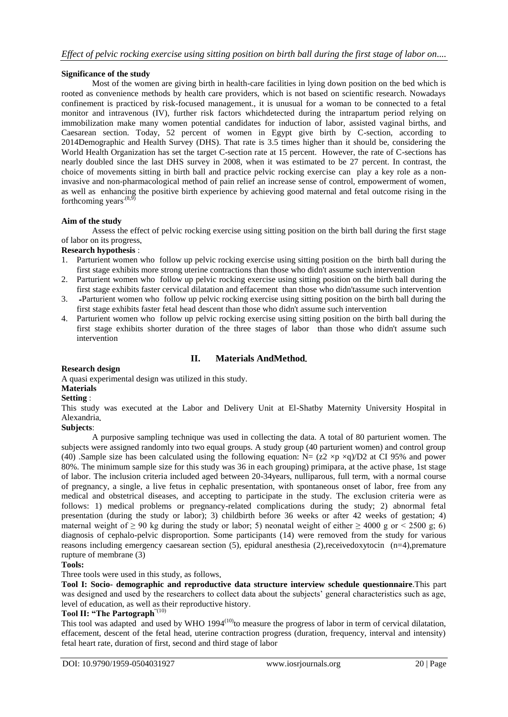## **Significance of the study**

Most of the women are giving birth in health-care facilities in lying down position on the bed which is rooted as convenience methods by health care providers, which is not based on scientific research. Nowadays confinement is practiced by risk-focused management., it is unusual for a woman to be connected to a fetal monitor and intravenous (IV), further risk factors whichdetected during the intrapartum period relying on immobilization make many women potential candidates for induction of labor, assisted vaginal births, and Caesarean section. Today, 52 percent of women in Egypt give birth by C-section, according to 2014Demographic and Health Survey (DHS). That rate is 3.5 times higher than it should be, considering the World Health Organization has set the target C-section rate at 15 percent. However, the rate of C-sections has nearly doubled since the last DHS survey in 2008, when it was estimated to be 27 percent. In contrast, the choice of movements sitting in birth ball and practice pelvic rocking exercise can play a key role as a noninvasive and non-pharmacological method of pain relief an increase sense of control, empowerment of women, as well as enhancing the positive birth experience by achieving good maternal and fetal outcome rising in the forthcoming years<sup> $(8,9)$ </sup>

### **Aim of the study**

Assess the effect of pelvic rocking exercise using sitting position on the birth ball during the first stage of labor on its progress.

### **Research hypothesis** :

- 1. Parturient women who follow up pelvic rocking exercise using sitting position on the birth ball during the first stage exhibits more strong uterine contractions than those who didn't assume such intervention
- 2. Parturient women who follow up pelvic rocking exercise using sitting position on the birth ball during the first stage exhibits faster cervical dilatation and effacement than those who didn'tassume such intervention
- 3. -Parturient women who follow up pelvic rocking exercise using sitting position on the birth ball during the first stage exhibits faster fetal head descent than those who didn't assume such intervention
- 4. Parturient women who follow up pelvic rocking exercise using sitting position on the birth ball during the first stage exhibits shorter duration of the three stages of labor than those who didn't assume such intervention

## **II. Materials AndMethod**.

## **Research design**

A quasi experimental design was utilized in this study.

### **Materials**

### **Setting** :

This study was executed at the Labor and Delivery Unit at El-Shatby Maternity University Hospital in Alexandria.

#### **Subjects**:

A purposive sampling technique was used in collecting the data. A total of 80 parturient women. The subjects were assigned randomly into two equal groups. A study group (40 parturient women) and control group (40) .Sample size has been calculated using the following equation: N=  $(z2 \times p \times q)/D2$  at CI 95% and power 80%. The minimum sample size for this study was 36 in each grouping) primipara, at the active phase, 1st stage of labor. The inclusion criteria included aged between 20-34years, nulliparous, full term, with a normal course of pregnancy, a single, a live fetus in cephalic presentation, with spontaneous onset of labor, free from any medical and obstetrical diseases, and accepting to participate in the study. The exclusion criteria were as follows: 1) medical problems or pregnancy-related complications during the study; 2) abnormal fetal presentation (during the study or labor); 3) childbirth before 36 weeks or after 42 weeks of gestation; 4) maternal weight of  $\geq 90$  kg during the study or labor; 5) neonatal weight of either  $\geq 4000$  g or  $\lt 2500$  g; 6) diagnosis of cephalo-pelvic disproportion. Some participants (14) were removed from the study for various reasons including emergency caesarean section (5), epidural anesthesia (2),receivedoxytocin (n=4),premature rupture of membrane (3)

### **Tools:**

Three tools were used in this study, as follows.

**Tool I: Socio- demographic and reproductive data structure interview schedule questionnaire**.This part was designed and used by the researchers to collect data about the subjects' general characteristics such as age, level of education, as well as their reproductive history.

## **Tool II: "The Partograph**"(10)

This tool was adapted and used by WHO  $1994^{(10)}$  to measure the progress of labor in term of cervical dilatation, effacement, descent of the fetal head, uterine contraction progress (duration, frequency, interval and intensity) fetal heart rate, duration of first, second and third stage of labor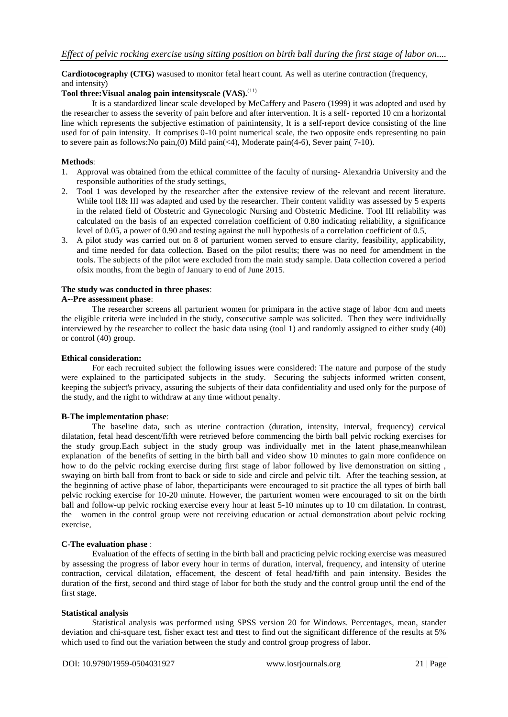## **Cardiotocography (CTG)** wasused to monitor fetal heart count. As well as uterine contraction (frequency, and intensity)

## Tool three: Visual analog pain intensityscale (VAS).<sup>(11)</sup>

It is a standardized linear scale developed by MeCaffery and Pasero (1999) it was adopted and used by the researcher to assess the severity of pain before and after intervention. It is a self- reported 10 cm a horizontal line which represents the subjective estimation of painintensity, It is a self-report device consisting of the line used for of pain intensity. It comprises 0-10 point numerical scale, the two opposite ends representing no pain to severe pain as follows:No pain,(0) Mild pain(<4), Moderate pain(4-6), Sever pain( 7-10).

## **Methods**:

- 1. Approval was obtained from the ethical committee of the faculty of nursing- Alexandria University and the responsible authorities of the study settings.
- 2. Tool 1 was developed by the researcher after the extensive review of the relevant and recent literature. While tool II& III was adapted and used by the researcher. Their content validity was assessed by 5 experts in the related field of Obstetric and Gynecologic Nursing and Obstetric Medicine. Tool III reliability was calculated on the basis of an expected correlation coefficient of 0.80 indicating reliability, a significance level of 0.05, a power of 0.90 and testing against the null hypothesis of a correlation coefficient of 0.5.
- 3. A pilot study was carried out on 8 of parturient women served to ensure clarity, feasibility, applicability, and time needed for data collection. Based on the pilot results; there was no need for amendment in the tools. The subjects of the pilot were excluded from the main study sample. Data collection covered a period ofsix months, from the begin of January to end of June 2015.

### **The study was conducted in three phases**:

## **A-**-**Pre assessment phase**:

The researcher screens all parturient women for primipara in the active stage of labor 4cm and meets the eligible criteria were included in the study, consecutive sample was solicited. Then they were individually interviewed by the researcher to collect the basic data using (tool 1) and randomly assigned to either study (40) or control (40) group.

#### **Ethical consideration:**

For each recruited subject the following issues were considered: The nature and purpose of the study were explained to the participated subjects in the study. Securing the subjects informed written consent, keeping the subject's privacy, assuring the subjects of their data confidentiality and used only for the purpose of the study, and the right to withdraw at any time without penalty.

### **B**-**The implementation phase**:

The baseline data, such as uterine contraction (duration, intensity, interval, frequency) cervical dilatation, fetal head descent/fifth were retrieved before commencing the birth ball pelvic rocking exercises for the study group.Each subject in the study group was individually met in the latent phase,meanwhilean explanation of the benefits of setting in the birth ball and video show 10 minutes to gain more confidence on how to do the pelvic rocking exercise during first stage of labor followed by live demonstration on sitting , swaying on birth ball from front to back or side to side and circle and pelvic tilt. After the teaching session, at the beginning of active phase of labor, theparticipants were encouraged to sit practice the all types of birth ball pelvic rocking exercise for 10-20 minute. However, the parturient women were encouraged to sit on the birth ball and follow-up pelvic rocking exercise every hour at least 5-10 minutes up to 10 cm dilatation. In contrast, the women in the control group were not receiving education or actual demonstration about pelvic rocking exercise.

### **C**-**The evaluation phase** :

Evaluation of the effects of setting in the birth ball and practicing pelvic rocking exercise was measured by assessing the progress of labor every hour in terms of duration, interval, frequency, and intensity of uterine contraction, cervical dilatation, effacement, the descent of fetal head/fifth and pain intensity. Besides the duration of the first, second and third stage of labor for both the study and the control group until the end of the first stage.

### **Statistical analysis**

Statistical analysis was performed using SPSS version 20 for Windows. Percentages, mean, stander deviation and chi-square test, fisher exact test and **t**test to find out the significant difference of the results at 5% which used to find out the variation between the study and control group progress of labor.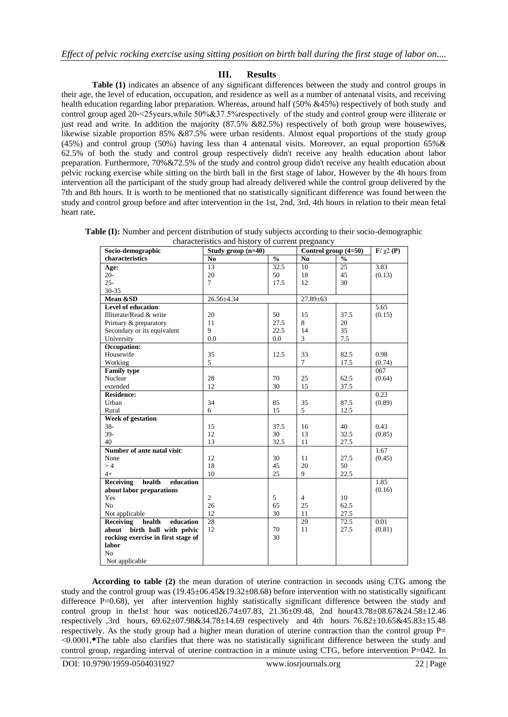# **III. Results**

**Table (1)** indicates an absence of any significant differences between the study and control groups in their age, the level of education, occupation, and residence as well as a number of antenatal visits, and receiving health education regarding labor preparation. Whereas, around half (50% &45%) respectively of both study and control group aged 20-˂25years,while 50%&37.5%respectively of the study and control group were illiterate or just read and write. In addition the majority (87.5% &82.5%) respectively of both group were housewives, likewise sizable proportion 85% &87.5% were urban residents. Almost equal proportions of the study group (45%) and control group (50%) having less than 4 antenatal visits. Moreover, an equal proportion 65%& 62.5% of both the study and control group respectively didn't receive any health education about labor preparation. Furthermore, 70%&72.5% of the study and control group didn't receive any health education about pelvic rocking exercise while sitting on the birth ball in the first stage of labor. However by the 4h hours from intervention all the participant of the study group had already delivered while the control group delivered by the 7th and 8th hours. It is worth to be mentioned that no statistically significant difference was found between the study and control group before and after intervention in the 1st, 2nd, 3rd, 4th hours in relation to their mean fetal heart rate.

**Table (I):** Number and percent distribution of study subjects according to their socio-demographic characteristics and history of  $\epsilon$ 

| characteristics and mistory of current pregnancy |                      |                                    |                      |               |                                 |  |
|--------------------------------------------------|----------------------|------------------------------------|----------------------|---------------|---------------------------------|--|
| Socio-demographic                                | Study group $(n=40)$ |                                    | Control group (4=50) |               | $\mathbf{F}/\gamma 2\mathbf{P}$ |  |
| characteristics                                  | N <sub>0</sub>       | $\mathbf{0}_{\mathbf{0}}^{\prime}$ | N <sub>0</sub>       | $\frac{0}{0}$ |                                 |  |
| Age:                                             | 13                   | 32.5                               | 10                   | 25            | 3.83                            |  |
| $20-$                                            | 20                   | 50                                 | 18                   | 45            | (0.13)                          |  |
| $25 -$                                           | $\overline{7}$       | 17.5                               | 12                   | 30            |                                 |  |
| $30 - 35$                                        |                      |                                    |                      |               |                                 |  |
| Mean &SD                                         | 26.56±4.34           |                                    | $27.89 \pm 63$       |               |                                 |  |
| Level of education:                              |                      |                                    |                      |               | 5.65                            |  |
| Illiterate/Read & write                          | 20                   | 50                                 | 15                   | 37.5          | (0.15)                          |  |
| Primary & preparatory                            | 11                   | 27.5                               | 8                    | 20            |                                 |  |
| Secondary or its equivalent                      | 9                    | 22.5                               | 14                   | 35            |                                 |  |
| University                                       | 0.0                  | 0.0                                | 3                    | 7.5           |                                 |  |
| <b>Occupation:</b>                               |                      |                                    |                      |               |                                 |  |
| Housewife                                        | 35                   | 12.5                               | 33                   | 82.5          | 0.98                            |  |
| Working                                          | 5                    |                                    | $\overline{7}$       | 17.5          | (0.74)                          |  |
| <b>Family type</b>                               |                      |                                    |                      |               | 067                             |  |
| Nuclear                                          | 28                   | 70                                 | 25                   | 62.5          | (0.64)                          |  |
| extended                                         | 12                   | 30                                 | 15                   | 37.5          |                                 |  |
| <b>Residence:</b>                                |                      |                                    |                      |               | 0.23                            |  |
| Urban                                            | 34                   | 85                                 | 35                   | 87.5          | (0.89)                          |  |
| Rural                                            | 6                    | 15                                 | 5                    | 12.5          |                                 |  |
| <b>Week of gestation</b>                         |                      |                                    |                      |               |                                 |  |
| $38 -$                                           | 15                   | 37.5                               | 16                   | 40            | 0.43                            |  |
| $39-$                                            | 12                   | 30                                 | 13                   | 32.5          | (0.85)                          |  |
| 40                                               | 13                   | 32.5                               | 11                   | 27.5          |                                 |  |
| Number of ante natal visit:                      |                      |                                    |                      |               | 1.67                            |  |
| None                                             | 12                   | 30                                 | 11                   | 27.5          | (0.45)                          |  |
| >4                                               | 18                   | 45                                 | 20                   | 50            |                                 |  |
| $4+$                                             | 10                   | 25                                 | 9                    | 22.5          |                                 |  |
| health<br>Receiving<br>education                 |                      |                                    |                      |               | 1.85                            |  |
| about labor preparations                         |                      |                                    |                      |               | (0.16)                          |  |
| Yes                                              | $\overline{c}$       | 5                                  | $\overline{4}$       | 10            |                                 |  |
| N <sub>o</sub>                                   | 26                   | 65                                 | 25                   | 62.5          |                                 |  |
| Not applicable                                   | 12                   | 30                                 | 11                   | 27.5          |                                 |  |
| health<br>education<br>Receiving                 | $\overline{28}$      |                                    | 29                   | 72.5          | 0.01                            |  |
| birth ball with pelvic<br>about                  | 12                   | 70                                 | 11                   | 27.5          | (0.81)                          |  |
| rocking exercise in first stage of               |                      | 30                                 |                      |               |                                 |  |
| labor                                            |                      |                                    |                      |               |                                 |  |
| N <sub>o</sub>                                   |                      |                                    |                      |               |                                 |  |
| Not applicable                                   |                      |                                    |                      |               |                                 |  |

**According to table (2)** the mean duration of uterine contraction in seconds using CTG among the study and the control group was  $(19.45\pm 06.45\& 19.32\pm 08.68)$  before intervention with no statistically significant difference P=0.68), yet after intervention highly statistically significant difference between the study and control group in the1st hour was noticed26.74±07.83, 21.36±09.48, 2nd hour43.78±08.67&24.58±12.46 respectively ,3rd hours, 69.62±07.98&34.78±14.69 respectively and 4th hours 76.82±10.65&45.83±15.48 respectively. As the study group had a higher mean duration of uterine contraction than the control group  $P=$ ˂0.0001.\*The table also clarifies that there was no statistically significant difference between the study and control group, regarding interval of uterine contraction in a minute using CTG, before intervention P=042. In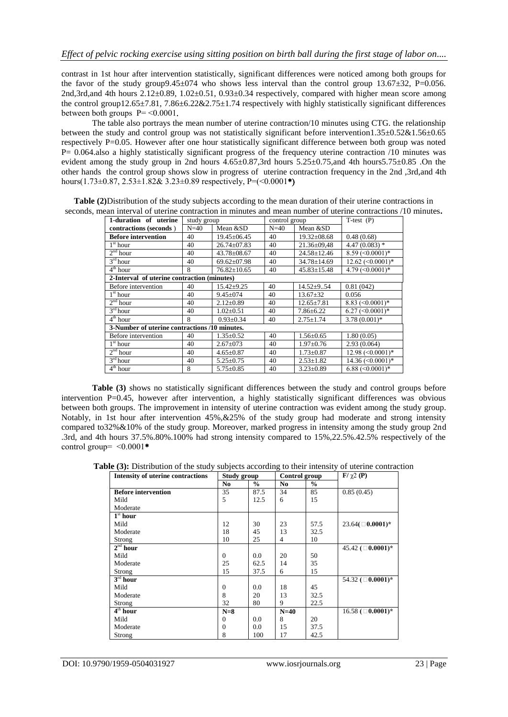contrast in 1st hour after intervention statistically, significant differences were noticed among both groups for the favor of the study group $9.45\pm074$  who shows less interval than the control group 13.67 $\pm32$ , P=0.056. 2nd,3rd,and 4th hours  $2.12\pm0.89$ ,  $1.02\pm0.51$ ,  $0.93\pm0.34$  respectively, compared with higher mean score among the control group12.65 $\pm$ 7.81, 7.86 $\pm$ 6.22&2.75 $\pm$ 1.74 respectively with highly statistically significant differences between both groups  $P = \leq 0.0001$ .

The table also portrays the mean number of uterine contraction/10 minutes using CTG. the relationship between the study and control group was not statistically significant before intervention1.35±0.52&1.56±0.65 respectively P=0.05. However after one hour statistically significant difference between both group was noted P= 0.064.also a highly statistically significant progress of the frequency uterine contraction /10 minutes was evident among the study group in 2nd hours 4.65±0.87,3rd hours 5.25±0.75,and 4th hours5.75±0.85 .On the other hands the control group shows slow in progress of uterine contraction frequency in the 2nd ,3rd,and 4th hours $(1.73\pm0.87, 2.53\pm1.82\& 3.23\pm0.89$  respectively, P= $(\leq 0.0001^*)$ 

**Table (2)**Distribution of the study subjects according to the mean duration of their uterine contractions in seconds, mean interval of uterine contraction in minutes and mean number of uterine contractions /10 minutes**.**

| 1-duration of uterine                         | study group |                   | control group |                   | $T-test (P)$                         |  |  |  |
|-----------------------------------------------|-------------|-------------------|---------------|-------------------|--------------------------------------|--|--|--|
| contractions (seconds)                        | $N=40$      | Mean &SD          | $N=40$        | Mean &SD          |                                      |  |  |  |
| <b>Before intervention</b>                    | 40          | $19.45 + 06.45$   | 40            | $19.32 \pm 08.68$ | 0.48(0.68)                           |  |  |  |
| 1 <sup>st</sup> hour                          | 40          | $26.74 \pm 07.83$ | 40            | $21.36\pm09.48$   | $4.47(0.083)$ *                      |  |  |  |
| 2 <sup>nd</sup> hour                          | 40          | $43.78 \pm 08.67$ | 40            | $24.58 \pm 12.46$ | $8.59$ (<0.0001)*                    |  |  |  |
| $3rd$ hour                                    | 40          | $69.62 \pm 07.98$ | 40            | 34.78±14.69       | $12.62 \left( \leq 0.0001 \right)^*$ |  |  |  |
| 4 <sup>th</sup> hour                          | 8           | $76.82 \pm 10.65$ | 40            | $45.83 \pm 15.48$ | 4.79 $(<0.0001)*$                    |  |  |  |
| 2-Interval of uterine contraction (minutes)   |             |                   |               |                   |                                      |  |  |  |
| Before intervention                           | 40          | $15.42 + 9.25$    | 40            | $14.52 + 9.54$    | 0.81(042)                            |  |  |  |
| 1 <sup>st</sup> hour                          | 40          | $9.45 \pm 074$    | 40            | $13.67 \pm 32$    | 0.056                                |  |  |  |
| 2 <sup>nd</sup> hour                          | 40          | $2.12 \pm 0.89$   | 40            | $12.65 \pm 7.81$  | $8.83$ (<0.0001)*                    |  |  |  |
| $\overline{3}^{\rm rd}$ hour                  | 40          | $1.02 \pm 0.51$   | 40            | $7.86 \pm 6.22$   | $6.27 \left( \leq 0.0001 \right)$ *  |  |  |  |
| $4th$ hour                                    | 8           | $0.93 \pm 0.34$   | 40            | $2.75 \pm 1.74$   | $3.78(0.001)*$                       |  |  |  |
| 3-Number of uterine contractions /10 minutes. |             |                   |               |                   |                                      |  |  |  |
| Before intervention                           | 40          | $1.35 \pm 0.52$   | 40            | $1.56 \pm 0.65$   | 1.80(0.05)                           |  |  |  |
| $1st$ hour                                    | 40          | $2.67 \pm 073$    | 40            | $1.97 \pm 0.76$   | 2.93(0.064)                          |  |  |  |
| 2 <sup>nd</sup> hour                          | 40          | $4.65 \pm 0.87$   | 40            | $1.73 \pm 0.87$   | $12.98 \left( \leq 0.0001 \right)^*$ |  |  |  |
| $3rd$ hour                                    | 40          | $5.25 \pm 0.75$   | 40            | $2.53 \pm 1.82$   | 14.36 $(<0.0001)*$                   |  |  |  |
| 4 <sup>th</sup> hour                          | 8           | $5.75 \pm 0.85$   | 40            | $3.23 \pm 0.89$   | 6.88 $(<0.0001)*$                    |  |  |  |

**Table (3)** shows no statistically significant differences between the study and control groups before intervention P=0.45, however after intervention, a highly statistically significant differences was obvious between both groups. The improvement in intensity of uterine contraction was evident among the study group. Notably, in 1st hour after intervention 45%,&25% of the study group had moderate and strong intensity compared to32%&10% of the study group. Moreover, marked progress in intensity among the study group 2nd .3rd, and 4th hours 37.5%.80%.100% had strong intensity compared to 15%,22.5%.42.5% respectively of the control group=  $\leq 0.0001*$ 

**Table (3):** Distribution of the study subjects according to their intensity of uterine contraction

| <b>Intensity of uterine contractions</b> | Study group    |               | Control group  |               | $\mathbf{F}/\gamma 2$ (P)          |
|------------------------------------------|----------------|---------------|----------------|---------------|------------------------------------|
|                                          | N <sub>0</sub> | $\frac{0}{0}$ | N <sub>0</sub> | $\frac{0}{0}$ |                                    |
| <b>Before intervention</b>               | 35             | 87.5          | 34             | 85            | 0.85(0.45)                         |
| Mild                                     | 5              | 12.5          | 6              | 15            |                                    |
| Moderate                                 |                |               |                |               |                                    |
| $1st$ hour                               |                |               |                |               |                                    |
| Mild                                     | 12             | 30            | 23             | 57.5          | $23.64 \times 0.0001$ <sup>*</sup> |
| Moderate                                 | 18             | 45            | 13             | 32.5          |                                    |
| Strong                                   | 10             | 25            | $\overline{4}$ | 10            |                                    |
| $2nd$ hour                               |                |               |                |               | 45.42 $($ 0.0001) <sup>*</sup>     |
| Mild                                     | $\Omega$       | 0.0           | 20             | 50            |                                    |
| Moderate                                 | 25             | 62.5          | 14             | 35            |                                    |
| Strong                                   | 15             | 37.5          | 6              | 15            |                                    |
| $3rd$ hour                               |                |               |                |               | 54.32 $($ 0.0001) <sup>*</sup>     |
| Mild                                     | $\theta$       | 0.0           | 18             | 45            |                                    |
| Moderate                                 | 8              | 20            | 13             | 32.5          |                                    |
| Strong                                   | 32             | 80            | 9              | 22.5          |                                    |
| $4th$ hour                               | $N=8$          |               | $N=40$         |               | 16.58 ( $\Box$ 0.0001)*            |
| Mild                                     | $\theta$       | 0.0           | 8              | 20            |                                    |
| Moderate                                 | $\theta$       | 0.0           | 15             | 37.5          |                                    |
| Strong                                   | 8              | 100           | 17             | 42.5          |                                    |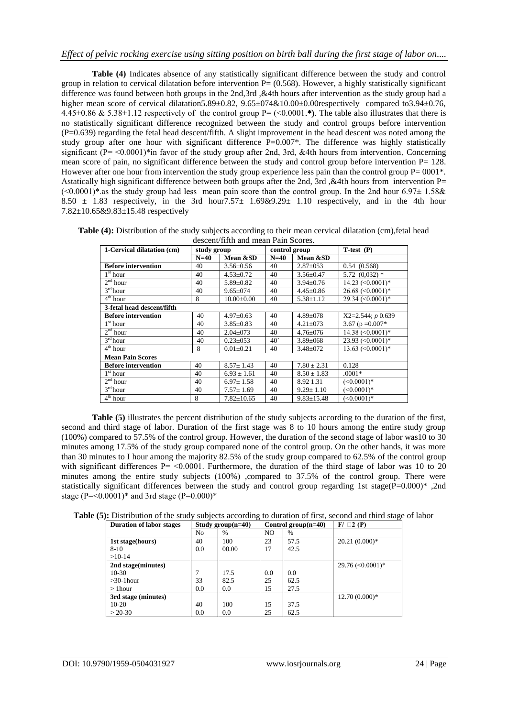**Table (4)** Indicates absence of any statistically significant difference between the study and control group in relation to cervical dilatation before intervention  $P = (0.568)$ . However, a highly statistically significant difference was found between both groups in the 2nd,3rd ,&4th hours after intervention as the study group had a higher mean score of cervical dilatation5.89±0.82, 9.65±074&10.00±0.00respectively compared to3.94±0.76,  $4.45\pm0.86$  &  $5.38\pm1.12$  respectively of the control group P= (<0.0001.\*). The table also illustrates that there is no statistically significant difference recognized between the study and control groups before intervention (P=0.639) regarding the fetal head descent/fifth. A slight improvement in the head descent was noted among the study group after one hour with significant difference P=0.007\*. The difference was highly statistically significant ( $P = \langle 0.0001 \rangle^*$  in favor of the study group after 2nd, 3rd, &4th hours from intervention. Concerning mean score of pain, no significant difference between the study and control group before intervention P= 128. However after one hour from intervention the study group experience less pain than the control group  $P= 0001^*$ . Astatically high significant difference between both groups after the 2nd, 3rd, &4th hours from intervention P=  $(\leq 0.0001)^*$ .as the study group had less mean pain score than the control group. In the 2nd hour 6.97 $\pm$  1.58 $\&$ 8.50  $\pm$  1.83 respectively, in the 3rd hour7.57 $\pm$  1.69&9.29 $\pm$  1.10 respectively, and in the 4th hour 7.82±10.65&9.83±15.48 respectively

| descent/fifth and mean Pain Scores. |             |               |               |             |              |  |  |
|-------------------------------------|-------------|---------------|---------------|-------------|--------------|--|--|
| 1-Cervical dilatation (cm)          | study group |               | control group |             | $T-test (P)$ |  |  |
|                                     | $N=40$      | Mean &SD      | $N=40$        | Mean &SD    |              |  |  |
| <b>Before intervention</b>          | 40          | $3.56 + 0.56$ | 40            | $2.87+0.53$ | 0.54(0.568)  |  |  |

**Table (4):** Distribution of the study subjects according to their mean cervical dilatation (cm),fetal head

|                            | $N=40$ | Mean &SD         | $N=40$     | Mean &SD         |                       |
|----------------------------|--------|------------------|------------|------------------|-----------------------|
| <b>Before intervention</b> | 40     | $3.56 \pm 0.56$  | 40         | $2.87 \pm 0.53$  | 0.54(0.568)           |
| $1st$ hour                 | 40     | $4.53 \pm 0.72$  | 40         | $3.56 \pm 0.47$  | $5.72$ $(0.032)$ *    |
| $2nd$ hour                 | 40     | $5.89 \pm 0.82$  | 40         | $3.94 + 0.76$    | $14.23$ $(< 0.0001)*$ |
| $3rd$ hour                 | 40     | $9.65 \pm 0.74$  | 40         | $4.45 \pm 0.86$  | $26.68$ (<0.0001)*    |
| $4th$ hour                 | 8      | $10.00 \pm 0.00$ | 40         | $5.38 \pm 1.12$  | 29.34 (< 0.0001)*     |
| 3-fetal head descent/fifth |        |                  |            |                  |                       |
| <b>Before intervention</b> | 40     | $4.97 \pm 0.63$  | 40         | $4.89 \pm 078$   | $X2=2.544$ ; $p0.639$ |
| $1st$ hour                 | 40     | $3.85 \pm 0.83$  | 40         | $4.21 \pm 073$   | 3.67 ( $p = 0.007*$   |
| 2 <sup>nd</sup> hour       | 40     | $2.04 \pm 073$   | 40         | $4.76 \pm 0.076$ | $14.38$ $(< 0.0001)*$ |
| $3rd$ hour                 | 40     | $0.23 \pm 0.53$  | $40^\circ$ | $3.89 \pm 068$   | 23.93 $(<0.0001)*$    |
| $4th$ hour                 | 8      | $0.01 \pm 0.21$  | 40         | $3.48 \pm 072$   | 13.63 $(<0.0001)*$    |
| <b>Mean Pain Scores</b>    |        |                  |            |                  |                       |
| <b>Before intervention</b> | 40     | $8.57 \pm 1.43$  | 40         | $7.80 \pm 2.31$  | 0.128                 |
| 1 <sup>st</sup> hour       | 40     | $6.93 \pm 1.61$  | 40         | $8.50 \pm 1.83$  | $.0001*$              |
| 2 <sup>nd</sup> hour       | 40     | $6.97 \pm 1.58$  | 40         | 8.92 1.31        | $(<0.0001)*$          |
| $3rd$ hour                 | 40     | $7.57 \pm 1.69$  | 40         | $9.29 \pm 1.10$  | $(<0.0001)*$          |
| $4th$ hour                 | 8      | $7.82 \pm 10.65$ | 40         | $9.83 \pm 15.48$ | $(<0.0001)*$          |

**Table (5)** illustrates the percent distribution of the study subjects according to the duration of the first, second and third stage of labor. Duration of the first stage was 8 to 10 hours among the entire study group (100%) compared to 57.5% of the control group. However, the duration of the second stage of labor was10 to 30 minutes among 17.5% of the study group compared none of the control group. On the other hands, it was more than 30 minutes to I hour among the majority 82.5% of the study group compared to 62.5% of the control group with significant differences  $P = \langle 0.0001$ . Furthermore, the duration of the third stage of labor was 10 to 20 minutes among the entire study subjects (100%) ,compared to 37.5% of the control group. There were statistically significant differences between the study and control group regarding 1st stage(P=0.000)\* ,2nd stage (P= $\leq 0.0001$ )\* and 3rd stage (P= $0.000$ )\*

**Table (5):** Distribution of the study subjects according to duration of first, second and third stage of labor

| <b>Duration of labor stages</b> |     | Study group $(n=40)$ | Control group $(n=40)$ |      | $F/\Box 2(P)$                        |
|---------------------------------|-----|----------------------|------------------------|------|--------------------------------------|
|                                 | No  | $\%$                 | NO                     | $\%$ |                                      |
| 1st stage(hours)                | 40  | 100                  | 23                     | 57.5 | $20.21(0.000)*$                      |
| $8 - 10$                        | 0.0 | 00.00                | 17                     | 42.5 |                                      |
| $>10-14$                        |     |                      |                        |      |                                      |
| 2nd stage(minutes)              |     |                      |                        |      | $29.76 \left( \leq 0.0001 \right)^*$ |
| $10-30$                         |     | 17.5                 | 0.0                    | 0.0  |                                      |
| $>30-1$ hour                    | 33  | 82.5                 | 25                     | 62.5 |                                      |
| $>1$ hour                       | 0.0 | 0.0                  | 15                     | 27.5 |                                      |
| 3rd stage (minutes)             |     |                      |                        |      | $12.70(0.000)*$                      |
| $10-20$                         | 40  | 100                  | 15                     | 37.5 |                                      |
| $> 20-30$                       | 0.0 | 0.0                  | 25                     | 62.5 |                                      |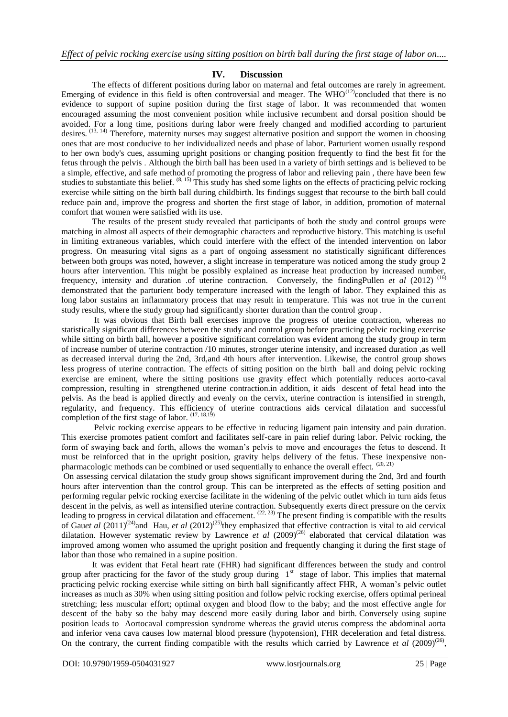## **IV. Discussion**

The effects of different positions during labor on maternal and fetal outcomes are rarely in agreement. Emerging of evidence in this field is often controversial and meager. The WHO<sup>(12)</sup>concluded that there is no evidence to support of supine position during the first stage of labor. It was recommended that women encouraged assuming the most convenient position while inclusive recumbent and dorsal position should be avoided. For a long time, positions during labor were freely changed and modified according to parturient desires. (13, 14) Therefore, maternity nurses may suggest alternative position and support the women in choosing ones that are most conducive to her individualized needs and phase of labor. Parturient women usually respond to her own body's cues, assuming upright positions or changing position frequently to find the best fit for the fetus through the pelvis . Although the birth ball has been used in a variety of birth settings and is believed to be a simple, effective, and safe method of promoting the progress of labor and relieving pain , there have been few studies to substantiate this belief.  $(8, 15)$  This study has shed some lights on the effects of practicing pelvic rocking exercise while sitting on the birth ball during childbirth. Its findings suggest that recourse to the birth ball could reduce pain and, improve the progress and shorten the first stage of labor, in addition, promotion of maternal comfort that women were satisfied with its use.

The results of the present study revealed that participants of both the study and control groups were matching in almost all aspects of their demographic characters and reproductive history. This matching is useful in limiting extraneous variables, which could interfere with the effect of the intended intervention on labor progress. On measuring vital signs as a part of ongoing assessment no statistically significant differences between both groups was noted, however, a slight increase in temperature was noticed among the study group 2 hours after intervention. This might be possibly explained as increase heat production by increased number, frequency, intensity and duration .of uterine contraction. Conversely, the findingPullen *et al* (2012)<sup>(16)</sup> demonstrated that the parturient body temperature increased with the length of labor. They explained this as long labor sustains an inflammatory process that may result in temperature. This was not true in the current study results, where the study group had significantly shorter duration than the control group .

It was obvious that Birth ball exercises improve the progress of uterine contraction, whereas no statistically significant differences between the study and control group before practicing pelvic rocking exercise while sitting on birth ball, however a positive significant correlation was evident among the study group in term of increase number of uterine contraction /10 minutes, stronger uterine intensity, and increased duration ,as well as decreased interval during the 2nd, 3rd,and 4th hours after intervention. Likewise, the control group shows less progress of uterine contraction. The effects of sitting position on the birth ball and doing pelvic rocking exercise are eminent, where the sitting positions use gravity effect which potentially reduces aorto-caval compression, resulting in strengthened uterine contraction.in addition, it aids descent of fetal head into the pelvis. As the head is applied directly and evenly on the cervix, uterine contraction is intensified in strength, regularity, and frequency. This efficiency of uterine contractions aids cervical dilatation and successful completion of the first stage of labor. (17, 18,19)

Pelvic rocking exercise appears to be effective in reducing ligament pain intensity and pain duration. This exercise promotes patient comfort and facilitates self-care in pain relief during labor. Pelvic rocking, the form of swaying back and forth, allows the woman's pelvis to move and encourages the fetus to descend. It must be reinforced that in the upright position, gravity helps delivery of the fetus. These inexpensive nonpharmacologic methods can be combined or used sequentially to enhance the overall effect.  $(20, 21)$ 

On assessing cervical dilatation the study group shows significant improvement during the 2nd, 3rd and fourth hours after intervention than the control group. This can be interpreted as the effects of setting position and performing regular pelvic rocking exercise facilitate in the widening of the pelvic outlet which in turn aids fetus descent in the pelvis, as well as intensified uterine contraction. Subsequently exerts direct pressure on the cervix leading to progress in cervical dilatation and effacement.  $(22, 23)$  The present finding is compatible with the results of Gau*et al* (2011)(24)and Hau, *et al* (2012)(25)they emphasized that effective contraction is vital to aid cervical dilatation. However systematic review by Lawrence *et al* (2009)<sup>(26)</sup> elaborated that cervical dilatation was improved among women who assumed the upright position and frequently changing it during the first stage of labor than those who remained in a supine position.

It was evident that Fetal heart rate (FHR) had significant differences between the study and control group after practicing for the favor of the study group during  $1<sup>st</sup>$  stage of labor. This implies that maternal practicing pelvic rocking exercise while sitting on birth ball significantly affect FHR, A woman's pelvic outlet increases as much as 30% when using sitting position and follow pelvic rocking exercise, offers optimal perineal stretching; less muscular effort; optimal oxygen and blood flow to the baby; and the most effective angle for descent of the baby so the baby may descend more easily during labor and birth. Conversely using supine position leads to Aortocaval compression syndrome whereas the gravid uterus compress the abdominal aorta and inferior vena cava causes low maternal blood pressure (hypotension), FHR deceleration and fetal distress. On the contrary, the current finding compatible with the results which carried by Lawrence *et al*  $(2009)^{(26)}$ ,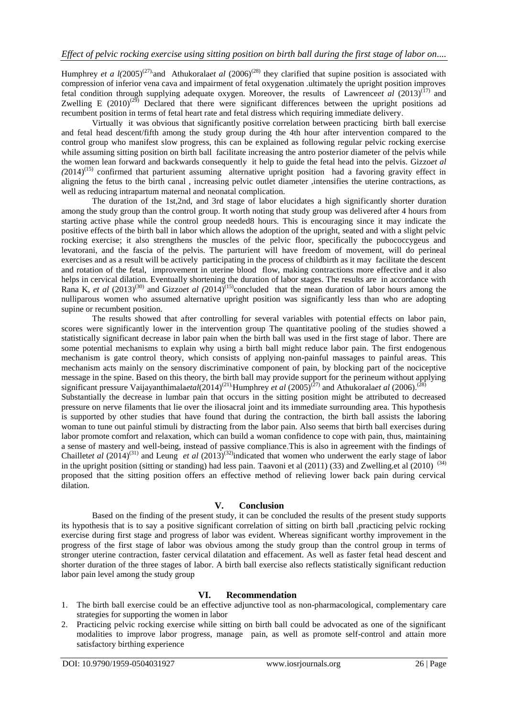Humphrey *et a l(2005)<sup>(27)</sup>*, and Athukorala*et al (2006)<sup>(28)</sup>* they clarified that supine position is associated with compression of inferior vena cava and impairment of fetal oxygenation .ultimately the upright position improves fetal condition through supplying adequate oxygen. Moreover, the results of [Lawrence](http://www.ncbi.nlm.nih.gov/pubmed/?term=Lawrence%20A%5BAuthor%5D&cauthor=true&cauthor_uid=24105444) *et al* (2013)<sup>(17)</sup> and Zwelling E  $(2010)^{(29)}$  Declared that there were significant differences between the upright positions ad recumbent position in terms of fetal heart rate and fetal distress which requiring immediate delivery.

Virtually it was obvious that significantly positive correlation between practicing birth ball exercise and fetal head descent/fifth among the study group during the 4th hour after intervention compared to the control group who manifest slow progress, this can be explained as following regular pelvic rocking exercise while assuming sitting position on birth ball facilitate increasing the antro posterior diameter of the pelvis while the women lean forward and backwards consequently it help to guide the fetal head into the pelvis. Gizzo*et al (*2014)(15) confirmed that parturient assuming alternative upright position had a favoring gravity effect in aligning the fetus to the birth canal , increasing pelvic outlet diameter ,intensifies the uterine contractions, as well as reducing intrapartum maternal and neonatal complication.

The duration of the 1st,2nd, and 3rd stage of labor elucidates a high significantly shorter duration among the study group than the control group. It worth noting that study group was delivered after 4 hours from starting active phase while the control group needed8 hours. This is encouraging since it may indicate the positive effects of the birth ball in labor which allows the adoption of the upright, seated and with a slight pelvic rocking exercise; it also strengthens the muscles of the pelvic floor, specifically the pubococcygeus and levatorani, and the fascia of the pelvis. The parturient will have freedom of movement, will do perineal exercises and as a result will be actively participating in the process of childbirth as it may facilitate the descent and rotation of the fetal, improvement in uterine blood flow, making contractions more effective and it also helps in cervical dilation. Eventually shortening the duration of labor stages. The results are in accordance with Rana K, *et al*  $(2013)^{(30)}$  and Gizzo*et al*  $(2014)^{(15)}$ concluded that the mean duration of labor hours among the nulliparous women who assumed alternative upright position was significantly less than who are adopting supine or recumbent position.

The results showed that after controlling for several variables with potential effects on labor pain, scores were significantly lower in the intervention group The quantitative pooling of the studies showed a statistically significant decrease in labor pain when the birth ball was used in the first stage of labor. There are some potential mechanisms to explain why using a birth ball might reduce labor pain. The first endogenous mechanism is gate control theory, which consists of applying non-painful massages to painful areas. This mechanism acts mainly on the sensory discriminative component of pain, by blocking part of the nociceptive message in the spine. Based on this theory, the birth ball may provide support for the perineum without applying significant pressure Vaijayanthimalaetal(2014)<sup>(21)</sup>;Humphrey *et al* (2005)<sup>(27)</sup> and Athukoralaet al (2006).<sup>(28)</sup> Substantially the decrease in lumbar pain that occurs in the sitting position might be attributed to decreased pressure on nerve filaments that lie over the iliosacral joint and its immediate surrounding area. This hypothesis is supported by other studies that have found that during the contraction, the birth ball assists the laboring woman to tune out painful stimuli by distracting from the labor pain. Also seems that birth ball exercises during labor promote comfort and relaxation, which can build a woman confidence to cope with pain, thus, maintaining a sense of mastery and well-being, instead of passive compliance.This is also in agreement with the findings of Chaillet*et al* (2014)<sup>(31)</sup> and Leung *et al* (2013)<sup>(32)</sup>indicated that women who underwent the early stage of labor in the upright position (sitting or standing) had less pain. Taavoni et al (2011) (33) and Zwelling.et al (2010) <sup>(34)</sup> proposed that the sitting position offers an effective method of relieving lower back pain during cervical dilation.

## **V. Conclusion**

Based on the finding of the present study, it can be concluded the results of the present study supports its hypothesis that is to say a positive significant correlation of sitting on birth ball ,practicing pelvic rocking exercise during first stage and progress of labor was evident. Whereas significant worthy improvement in the progress of the first stage of labor was obvious among the study group than the control group in terms of stronger uterine contraction, faster cervical dilatation and effacement. As well as faster fetal head descent and shorter duration of the three stages of labor. A birth ball exercise also reflects statistically significant reduction labor pain level among the study group

## **VI. Recommendation**

- 1. The birth ball exercise could be an effective adjunctive tool as non-pharmacological, complementary care strategies for supporting the women in labor
- 2. Practicing pelvic rocking exercise while sitting on birth ball could be advocated as one of the significant modalities to improve labor progress, manage pain, as well as promote self-control and attain more satisfactory birthing experience